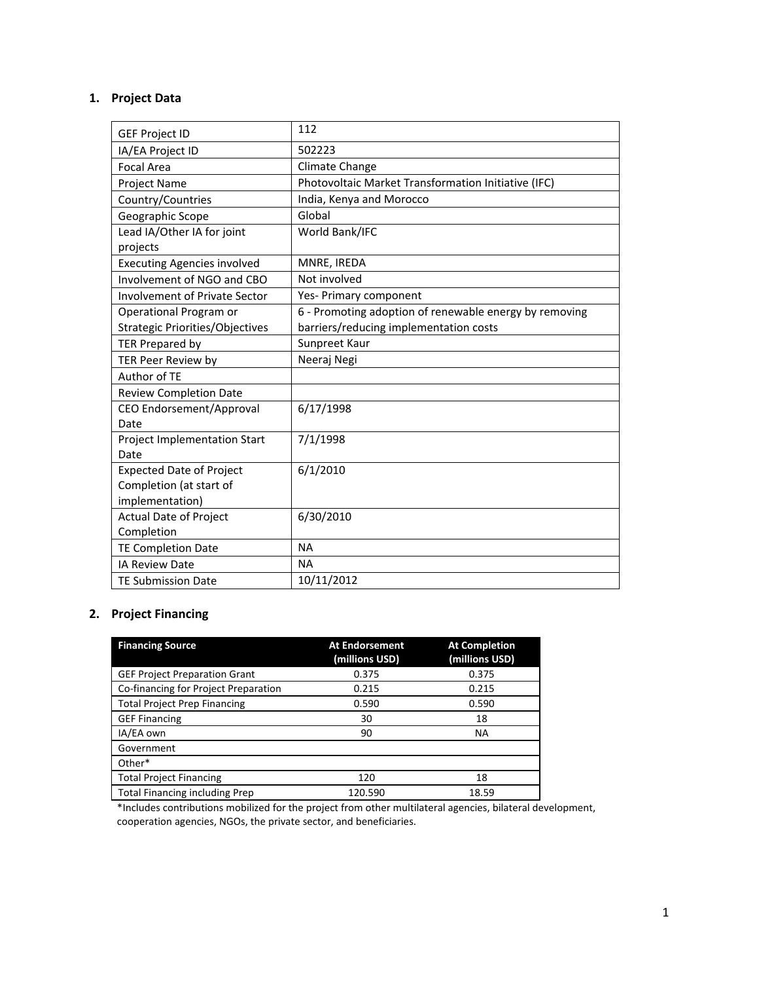## **1. Project Data**

| <b>GEF Project ID</b>                  | 112                                                    |
|----------------------------------------|--------------------------------------------------------|
| IA/EA Project ID                       | 502223                                                 |
| <b>Focal Area</b>                      | Climate Change                                         |
| <b>Project Name</b>                    | Photovoltaic Market Transformation Initiative (IFC)    |
| Country/Countries                      | India, Kenya and Morocco                               |
| Geographic Scope                       | Global                                                 |
| Lead IA/Other IA for joint             | World Bank/IFC                                         |
| projects                               |                                                        |
| <b>Executing Agencies involved</b>     | MNRE, IREDA                                            |
| Involvement of NGO and CBO             | Not involved                                           |
| <b>Involvement of Private Sector</b>   | Yes- Primary component                                 |
| Operational Program or                 | 6 - Promoting adoption of renewable energy by removing |
| <b>Strategic Priorities/Objectives</b> | barriers/reducing implementation costs                 |
| <b>TER Prepared by</b>                 | Sunpreet Kaur                                          |
| TER Peer Review by                     | Neeraj Negi                                            |
| Author of TE                           |                                                        |
| <b>Review Completion Date</b>          |                                                        |
| CEO Endorsement/Approval               | 6/17/1998                                              |
| Date                                   |                                                        |
| Project Implementation Start           | 7/1/1998                                               |
| Date                                   |                                                        |
| <b>Expected Date of Project</b>        | 6/1/2010                                               |
| Completion (at start of                |                                                        |
| implementation)                        |                                                        |
| <b>Actual Date of Project</b>          | 6/30/2010                                              |
| Completion                             |                                                        |
| <b>TE Completion Date</b>              | <b>NA</b>                                              |
| <b>IA Review Date</b>                  | <b>NA</b>                                              |
| <b>TE Submission Date</b>              | 10/11/2012                                             |

## **2. Project Financing**

| <b>Financing Source</b>               | <b>At Endorsement</b><br>(millions USD) | <b>At Completion</b><br>(millions USD) |
|---------------------------------------|-----------------------------------------|----------------------------------------|
| <b>GEF Project Preparation Grant</b>  | 0.375                                   | 0.375                                  |
| Co-financing for Project Preparation  | 0.215                                   | 0.215                                  |
| <b>Total Project Prep Financing</b>   | 0.590                                   | 0.590                                  |
| <b>GEF Financing</b>                  | 30                                      | 18                                     |
| IA/EA own                             | 90                                      | <b>NA</b>                              |
| Government                            |                                         |                                        |
| Other*                                |                                         |                                        |
| <b>Total Project Financing</b>        | 120                                     | 18                                     |
| <b>Total Financing including Prep</b> | 120.590                                 | 18.59                                  |

\*Includes contributions mobilized for the project from other multilateral agencies, bilateral development, cooperation agencies, NGOs, the private sector, and beneficiaries.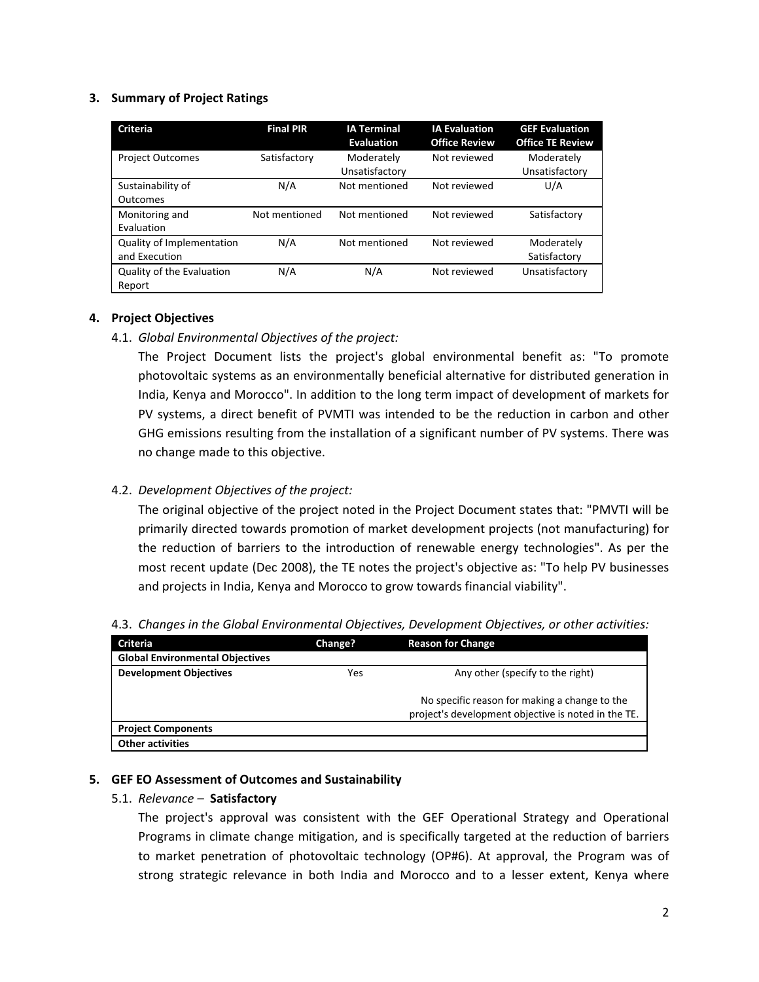## **3. Summary of Project Ratings**

| <b>Criteria</b>                            | <b>Final PIR</b> | <b>IA Terminal</b><br><b>Evaluation</b> | <b>IA Evaluation</b><br><b>Office Review</b> | <b>GEF Evaluation</b><br><b>Office TE Review</b> |
|--------------------------------------------|------------------|-----------------------------------------|----------------------------------------------|--------------------------------------------------|
| <b>Project Outcomes</b>                    | Satisfactory     | Moderately<br>Unsatisfactory            | Not reviewed                                 | Moderately<br>Unsatisfactory                     |
| Sustainability of<br>Outcomes              | N/A              | Not mentioned                           | Not reviewed                                 | U/A                                              |
| Monitoring and<br>Evaluation               | Not mentioned    | Not mentioned                           | Not reviewed                                 | Satisfactory                                     |
| Quality of Implementation<br>and Execution | N/A              | Not mentioned                           | Not reviewed                                 | Moderately<br>Satisfactory                       |
| Quality of the Evaluation<br>Report        | N/A              | N/A                                     | Not reviewed                                 | Unsatisfactory                                   |

## **4. Project Objectives**

4.1. *Global Environmental Objectives of the project:* 

The Project Document lists the project's global environmental benefit as: "To promote photovoltaic systems as an environmentally beneficial alternative for distributed generation in India, Kenya and Morocco". In addition to the long term impact of development of markets for PV systems, a direct benefit of PVMTI was intended to be the reduction in carbon and other GHG emissions resulting from the installation of a significant number of PV systems. There was no change made to this objective.

## 4.2. *Development Objectives of the project:*

The original objective of the project noted in the Project Document states that: "PMVTI will be primarily directed towards promotion of market development projects (not manufacturing) for the reduction of barriers to the introduction of renewable energy technologies". As per the most recent update (Dec 2008), the TE notes the project's objective as: "To help PV businesses and projects in India, Kenya and Morocco to grow towards financial viability".

|  | 4.3. Changes in the Global Environmental Objectives, Development Objectives, or other activities: |  |  |
|--|---------------------------------------------------------------------------------------------------|--|--|
|  |                                                                                                   |  |  |

| Change? | <b>Reason for Change</b>                            |
|---------|-----------------------------------------------------|
|         |                                                     |
| Yes     | Any other (specify to the right)                    |
|         |                                                     |
|         | No specific reason for making a change to the       |
|         | project's development objective is noted in the TE. |
|         |                                                     |
|         |                                                     |
|         |                                                     |

## **5. GEF EO Assessment of Outcomes and Sustainability**

## 5.1. *Relevance –* **Satisfactory**

The project's approval was consistent with the GEF Operational Strategy and Operational Programs in climate change mitigation, and is specifically targeted at the reduction of barriers to market penetration of photovoltaic technology (OP#6). At approval, the Program was of strong strategic relevance in both India and Morocco and to a lesser extent, Kenya where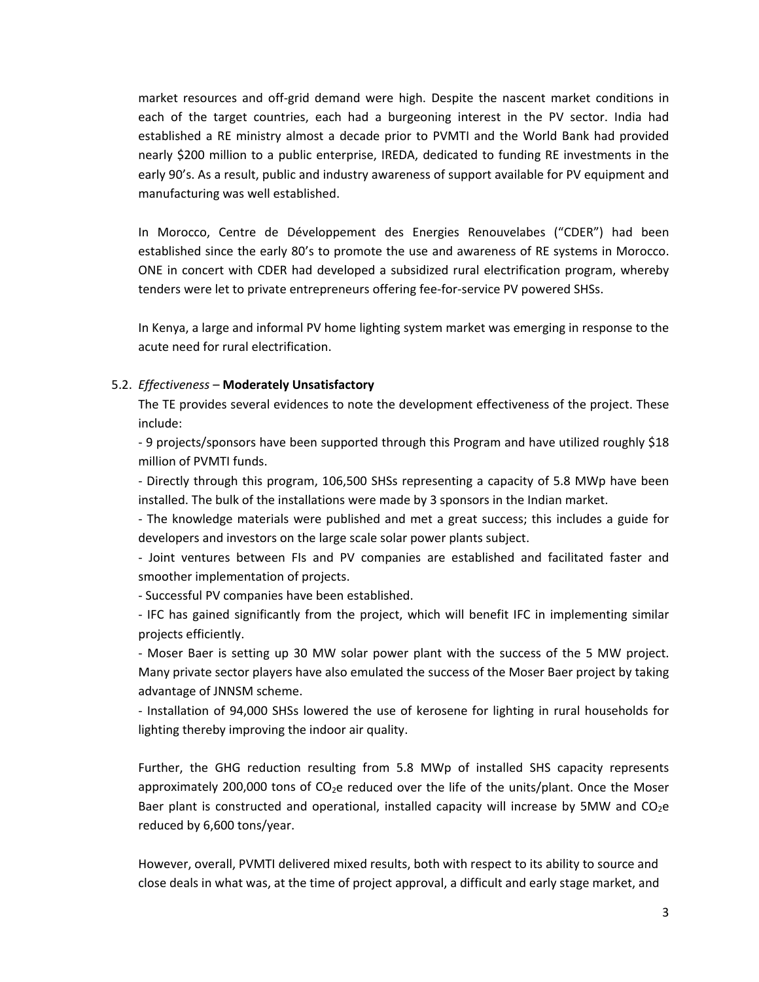market resources and off-grid demand were high. Despite the nascent market conditions in each of the target countries, each had a burgeoning interest in the PV sector. India had established a RE ministry almost a decade prior to PVMTI and the World Bank had provided nearly \$200 million to a public enterprise, IREDA, dedicated to funding RE investments in the early 90's. As a result, public and industry awareness of support available for PV equipment and manufacturing was well established.

In Morocco, Centre de Développement des Energies Renouvelabes ("CDER") had been established since the early 80's to promote the use and awareness of RE systems in Morocco. ONE in concert with CDER had developed a subsidized rural electrification program, whereby tenders were let to private entrepreneurs offering fee-for-service PV powered SHSs.

In Kenya, a large and informal PV home lighting system market was emerging in response to the acute need for rural electrification.

## 5.2. *Effectiveness* – **Moderately Unsatisfactory**

The TE provides several evidences to note the development effectiveness of the project. These include:

- 9 projects/sponsors have been supported through this Program and have utilized roughly \$18 million of PVMTI funds.

- Directly through this program, 106,500 SHSs representing a capacity of 5.8 MWp have been installed. The bulk of the installations were made by 3 sponsors in the Indian market.

- The knowledge materials were published and met a great success; this includes a guide for developers and investors on the large scale solar power plants subject.

- Joint ventures between FIs and PV companies are established and facilitated faster and smoother implementation of projects.

- Successful PV companies have been established.

- IFC has gained significantly from the project, which will benefit IFC in implementing similar projects efficiently.

- Moser Baer is setting up 30 MW solar power plant with the success of the 5 MW project. Many private sector players have also emulated the success of the Moser Baer project by taking advantage of JNNSM scheme.

- Installation of 94,000 SHSs lowered the use of kerosene for lighting in rural households for lighting thereby improving the indoor air quality.

Further, the GHG reduction resulting from 5.8 MWp of installed SHS capacity represents approximately 200,000 tons of  $CO<sub>2</sub>e$  reduced over the life of the units/plant. Once the Moser Baer plant is constructed and operational, installed capacity will increase by 5MW and  $CO<sub>2</sub>e$ reduced by 6,600 tons/year.

However, overall, PVMTI delivered mixed results, both with respect to its ability to source and close deals in what was, at the time of project approval, a difficult and early stage market, and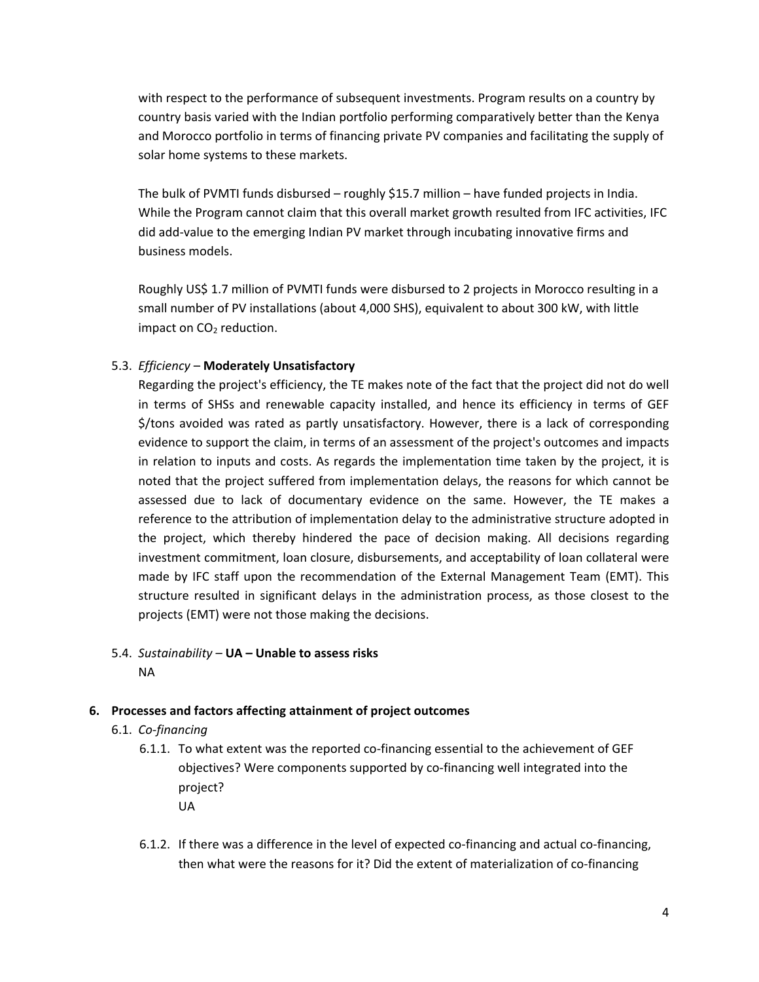with respect to the performance of subsequent investments. Program results on a country by country basis varied with the Indian portfolio performing comparatively better than the Kenya and Morocco portfolio in terms of financing private PV companies and facilitating the supply of solar home systems to these markets.

The bulk of PVMTI funds disbursed – roughly \$15.7 million – have funded projects in India. While the Program cannot claim that this overall market growth resulted from IFC activities, IFC did add-value to the emerging Indian PV market through incubating innovative firms and business models.

Roughly US\$ 1.7 million of PVMTI funds were disbursed to 2 projects in Morocco resulting in a small number of PV installations (about 4,000 SHS), equivalent to about 300 kW, with little impact on CO<sub>2</sub> reduction.

## 5.3. *Efficiency* – **Moderately Unsatisfactory**

Regarding the project's efficiency, the TE makes note of the fact that the project did not do well in terms of SHSs and renewable capacity installed, and hence its efficiency in terms of GEF \$/tons avoided was rated as partly unsatisfactory. However, there is a lack of corresponding evidence to support the claim, in terms of an assessment of the project's outcomes and impacts in relation to inputs and costs. As regards the implementation time taken by the project, it is noted that the project suffered from implementation delays, the reasons for which cannot be assessed due to lack of documentary evidence on the same. However, the TE makes a reference to the attribution of implementation delay to the administrative structure adopted in the project, which thereby hindered the pace of decision making. All decisions regarding investment commitment, loan closure, disbursements, and acceptability of loan collateral were made by IFC staff upon the recommendation of the External Management Team (EMT). This structure resulted in significant delays in the administration process, as those closest to the projects (EMT) were not those making the decisions.

# 5.4. *Sustainability* – **UA – Unable to assess risks**

## NA

## **6. Processes and factors affecting attainment of project outcomes**

- 6.1. *Co-financing* 
	- 6.1.1. To what extent was the reported co-financing essential to the achievement of GEF objectives? Were components supported by co-financing well integrated into the project? UA
	- 6.1.2. If there was a difference in the level of expected co-financing and actual co-financing, then what were the reasons for it? Did the extent of materialization of co-financing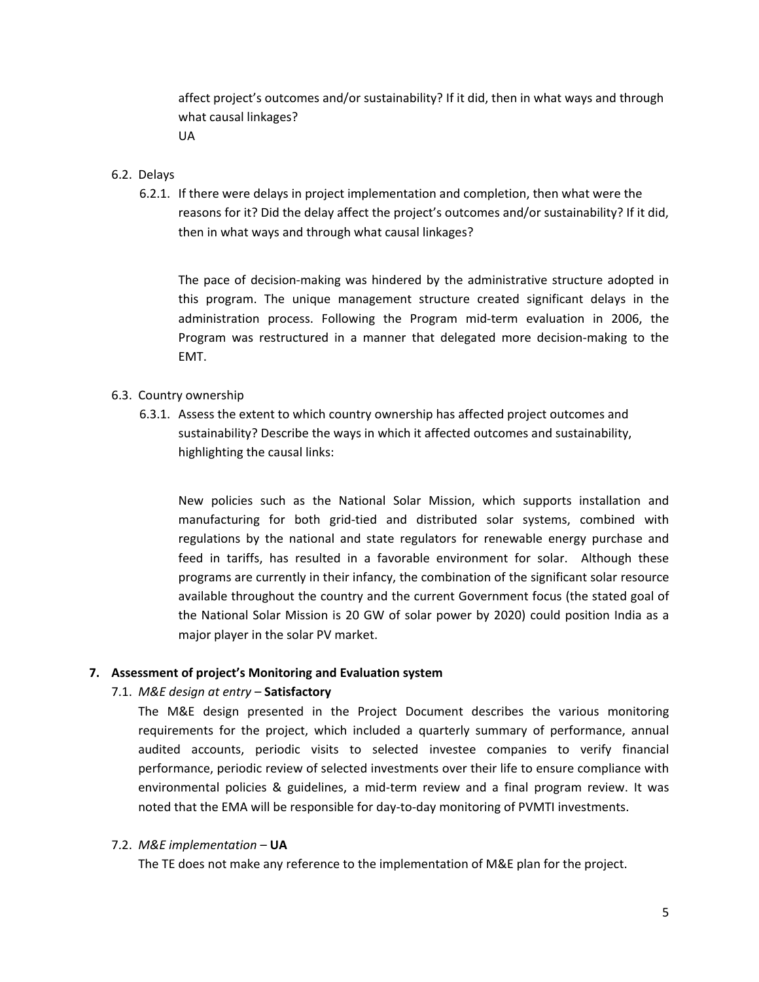affect project's outcomes and/or sustainability? If it did, then in what ways and through what causal linkages? UA

#### 6.2. Delays

6.2.1. If there were delays in project implementation and completion, then what were the reasons for it? Did the delay affect the project's outcomes and/or sustainability? If it did, then in what ways and through what causal linkages?

The pace of decision-making was hindered by the administrative structure adopted in this program. The unique management structure created significant delays in the administration process. Following the Program mid-term evaluation in 2006, the Program was restructured in a manner that delegated more decision-making to the EMT.

#### 6.3. Country ownership

6.3.1. Assess the extent to which country ownership has affected project outcomes and sustainability? Describe the ways in which it affected outcomes and sustainability, highlighting the causal links:

New policies such as the National Solar Mission, which supports installation and manufacturing for both grid-tied and distributed solar systems, combined with regulations by the national and state regulators for renewable energy purchase and feed in tariffs, has resulted in a favorable environment for solar. Although these programs are currently in their infancy, the combination of the significant solar resource available throughout the country and the current Government focus (the stated goal of the National Solar Mission is 20 GW of solar power by 2020) could position India as a major player in the solar PV market.

#### **7. Assessment of project's Monitoring and Evaluation system**

## 7.1. *M&E design at entry* – **Satisfactory**

The M&E design presented in the Project Document describes the various monitoring requirements for the project, which included a quarterly summary of performance, annual audited accounts, periodic visits to selected investee companies to verify financial performance, periodic review of selected investments over their life to ensure compliance with environmental policies & guidelines, a mid-term review and a final program review. It was noted that the EMA will be responsible for day-to-day monitoring of PVMTI investments.

## 7.2. *M&E implementation* – **UA**

The TE does not make any reference to the implementation of M&E plan for the project.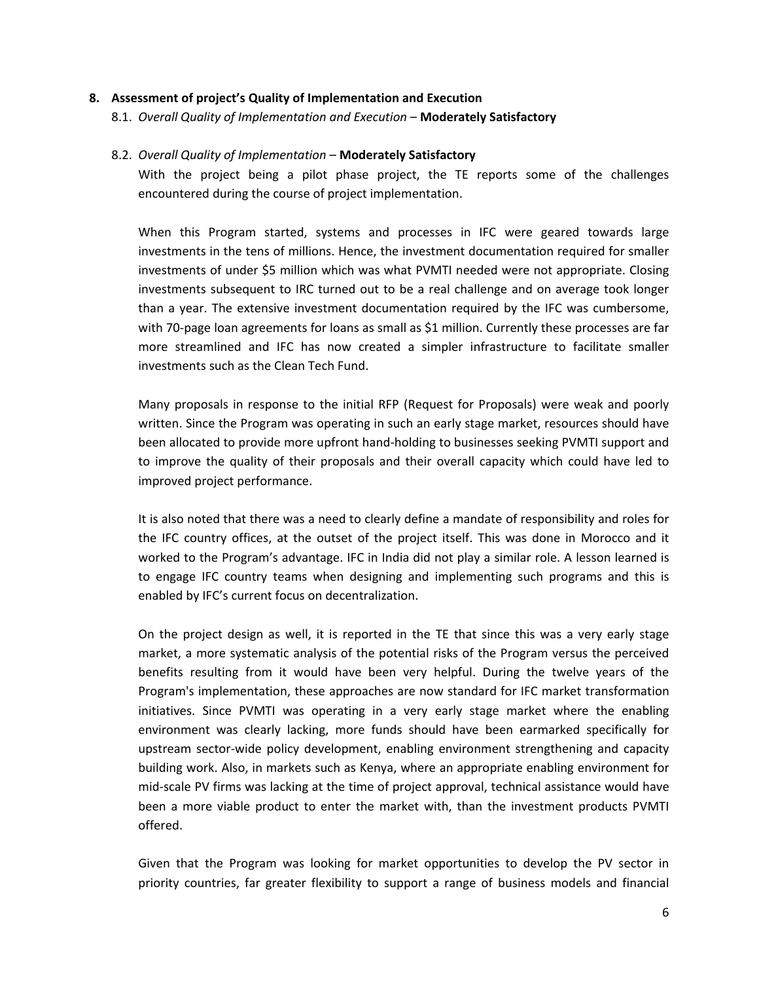## **8. Assessment of project's Quality of Implementation and Execution**

8.1. *Overall Quality of Implementation and Execution* – **Moderately Satisfactory**

### 8.2. *Overall Quality of Implementation* – **Moderately Satisfactory**

With the project being a pilot phase project, the TE reports some of the challenges encountered during the course of project implementation.

When this Program started, systems and processes in IFC were geared towards large investments in the tens of millions. Hence, the investment documentation required for smaller investments of under \$5 million which was what PVMTI needed were not appropriate. Closing investments subsequent to IRC turned out to be a real challenge and on average took longer than a year. The extensive investment documentation required by the IFC was cumbersome, with 70-page loan agreements for loans as small as \$1 million. Currently these processes are far more streamlined and IFC has now created a simpler infrastructure to facilitate smaller investments such as the Clean Tech Fund.

Many proposals in response to the initial RFP (Request for Proposals) were weak and poorly written. Since the Program was operating in such an early stage market, resources should have been allocated to provide more upfront hand-holding to businesses seeking PVMTI support and to improve the quality of their proposals and their overall capacity which could have led to improved project performance.

It is also noted that there was a need to clearly define a mandate of responsibility and roles for the IFC country offices, at the outset of the project itself. This was done in Morocco and it worked to the Program's advantage. IFC in India did not play a similar role. A lesson learned is to engage IFC country teams when designing and implementing such programs and this is enabled by IFC's current focus on decentralization.

On the project design as well, it is reported in the TE that since this was a very early stage market, a more systematic analysis of the potential risks of the Program versus the perceived benefits resulting from it would have been very helpful. During the twelve years of the Program's implementation, these approaches are now standard for IFC market transformation initiatives. Since PVMTI was operating in a very early stage market where the enabling environment was clearly lacking, more funds should have been earmarked specifically for upstream sector-wide policy development, enabling environment strengthening and capacity building work. Also, in markets such as Kenya, where an appropriate enabling environment for mid-scale PV firms was lacking at the time of project approval, technical assistance would have been a more viable product to enter the market with, than the investment products PVMTI offered.

Given that the Program was looking for market opportunities to develop the PV sector in priority countries, far greater flexibility to support a range of business models and financial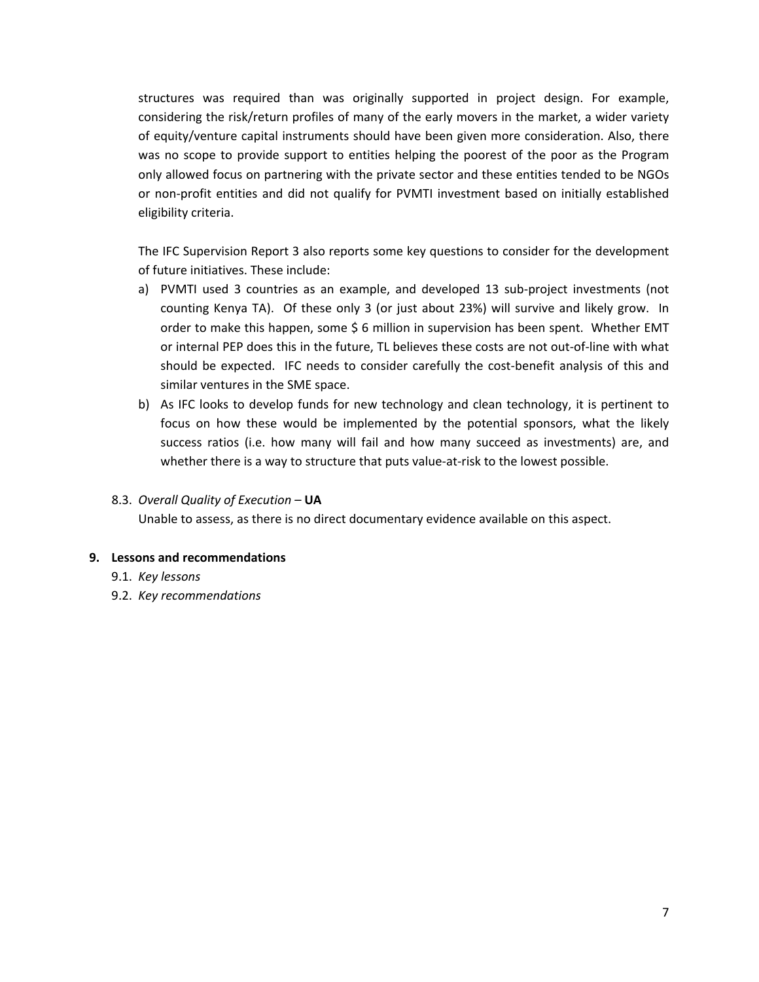structures was required than was originally supported in project design. For example, considering the risk/return profiles of many of the early movers in the market, a wider variety of equity/venture capital instruments should have been given more consideration. Also, there was no scope to provide support to entities helping the poorest of the poor as the Program only allowed focus on partnering with the private sector and these entities tended to be NGOs or non-profit entities and did not qualify for PVMTI investment based on initially established eligibility criteria.

The IFC Supervision Report 3 also reports some key questions to consider for the development of future initiatives. These include:

- a) PVMTI used 3 countries as an example, and developed 13 sub-project investments (not counting Kenya TA). Of these only 3 (or just about 23%) will survive and likely grow. In order to make this happen, some \$ 6 million in supervision has been spent. Whether EMT or internal PEP does this in the future, TL believes these costs are not out-of-line with what should be expected. IFC needs to consider carefully the cost-benefit analysis of this and similar ventures in the SME space.
- b) As IFC looks to develop funds for new technology and clean technology, it is pertinent to focus on how these would be implemented by the potential sponsors, what the likely success ratios (i.e. how many will fail and how many succeed as investments) are, and whether there is a way to structure that puts value-at-risk to the lowest possible.

### 8.3. *Overall Quality of Execution* – **UA**

Unable to assess, as there is no direct documentary evidence available on this aspect.

### **9. Lessons and recommendations**

- 9.1. *Key lessons*
- 9.2. *Key recommendations*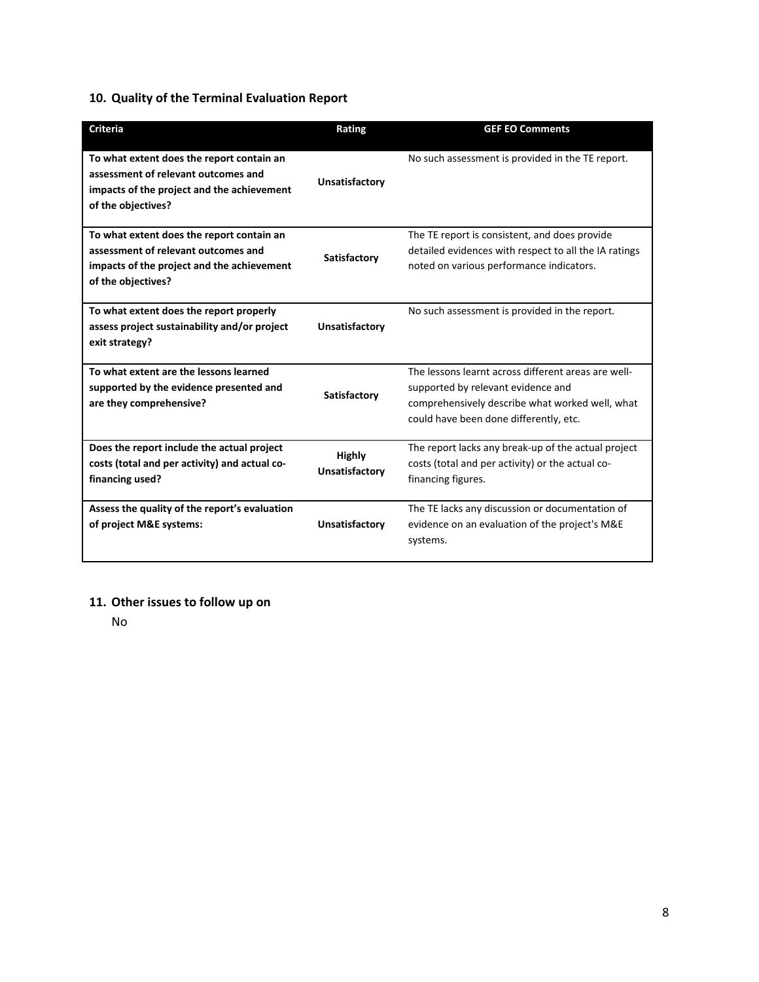## **10. Quality of the Terminal Evaluation Report**

| <b>Criteria</b>                                                                                                                                      | Rating                          | <b>GEF EO Comments</b>                                                                                                                                                                 |
|------------------------------------------------------------------------------------------------------------------------------------------------------|---------------------------------|----------------------------------------------------------------------------------------------------------------------------------------------------------------------------------------|
| To what extent does the report contain an<br>assessment of relevant outcomes and<br>impacts of the project and the achievement<br>of the objectives? | Unsatisfactory                  | No such assessment is provided in the TE report.                                                                                                                                       |
| To what extent does the report contain an<br>assessment of relevant outcomes and<br>impacts of the project and the achievement<br>of the objectives? | Satisfactory                    | The TE report is consistent, and does provide<br>detailed evidences with respect to all the IA ratings<br>noted on various performance indicators.                                     |
| To what extent does the report properly<br>assess project sustainability and/or project<br>exit strategy?                                            | Unsatisfactory                  | No such assessment is provided in the report.                                                                                                                                          |
| To what extent are the lessons learned<br>supported by the evidence presented and<br>are they comprehensive?                                         | Satisfactory                    | The lessons learnt across different areas are well-<br>supported by relevant evidence and<br>comprehensively describe what worked well, what<br>could have been done differently, etc. |
| Does the report include the actual project<br>costs (total and per activity) and actual co-<br>financing used?                                       | <b>Highly</b><br>Unsatisfactory | The report lacks any break-up of the actual project<br>costs (total and per activity) or the actual co-<br>financing figures.                                                          |
| Assess the quality of the report's evaluation<br>of project M&E systems:                                                                             | Unsatisfactory                  | The TE lacks any discussion or documentation of<br>evidence on an evaluation of the project's M&E<br>systems.                                                                          |

## **11. Other issues to follow up on**

No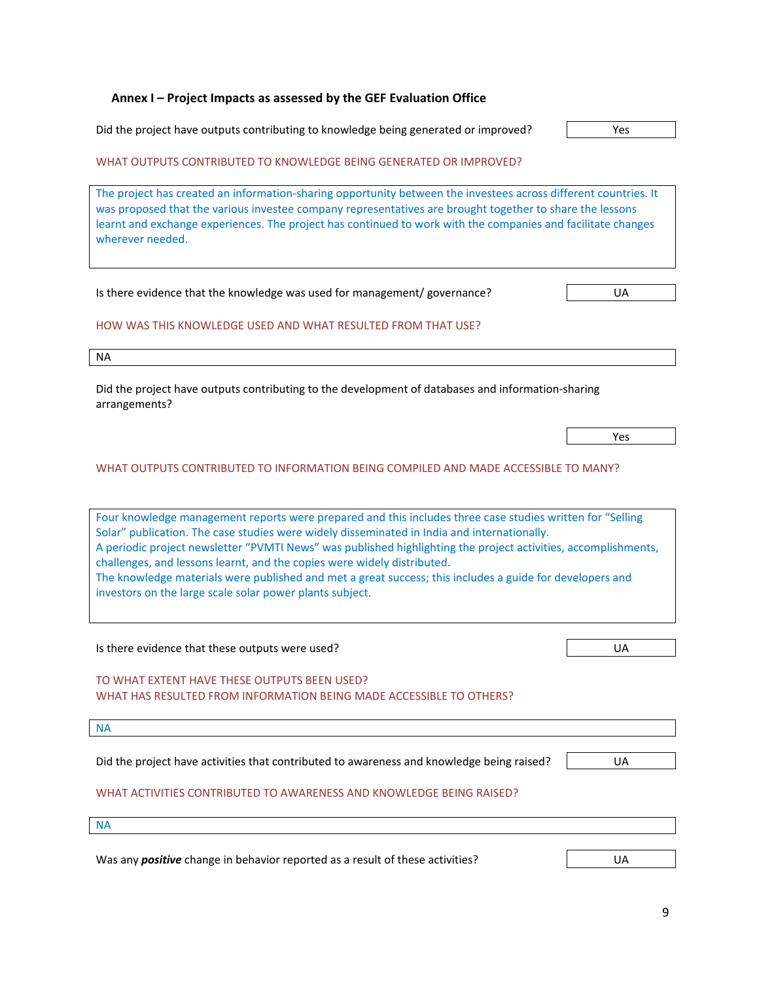| Annex I - Project Impacts as assessed by the GEF Evaluation Office                                                                                                                                                                                                                                                                                                                                                                                                                                                                                                            |     |
|-------------------------------------------------------------------------------------------------------------------------------------------------------------------------------------------------------------------------------------------------------------------------------------------------------------------------------------------------------------------------------------------------------------------------------------------------------------------------------------------------------------------------------------------------------------------------------|-----|
| Did the project have outputs contributing to knowledge being generated or improved?                                                                                                                                                                                                                                                                                                                                                                                                                                                                                           | Yes |
| WHAT OUTPUTS CONTRIBUTED TO KNOWLEDGE BEING GENERATED OR IMPROVED?                                                                                                                                                                                                                                                                                                                                                                                                                                                                                                            |     |
| The project has created an information-sharing opportunity between the investees across different countries. It<br>was proposed that the various investee company representatives are brought together to share the lessons<br>learnt and exchange experiences. The project has continued to work with the companies and facilitate changes<br>wherever needed.                                                                                                                                                                                                               |     |
| Is there evidence that the knowledge was used for management/ governance?                                                                                                                                                                                                                                                                                                                                                                                                                                                                                                     | UA  |
| HOW WAS THIS KNOWLEDGE USED AND WHAT RESULTED FROM THAT USE?                                                                                                                                                                                                                                                                                                                                                                                                                                                                                                                  |     |
| <b>NA</b>                                                                                                                                                                                                                                                                                                                                                                                                                                                                                                                                                                     |     |
| Did the project have outputs contributing to the development of databases and information-sharing<br>arrangements?<br>WHAT OUTPUTS CONTRIBUTED TO INFORMATION BEING COMPILED AND MADE ACCESSIBLE TO MANY?                                                                                                                                                                                                                                                                                                                                                                     | Yes |
| Four knowledge management reports were prepared and this includes three case studies written for "Selling<br>Solar" publication. The case studies were widely disseminated in India and internationally.<br>A periodic project newsletter "PVMTI News" was published highlighting the project activities, accomplishments,<br>challenges, and lessons learnt, and the copies were widely distributed.<br>The knowledge materials were published and met a great success; this includes a guide for developers and<br>investors on the large scale solar power plants subject. |     |
| Is there evidence that these outputs were used?                                                                                                                                                                                                                                                                                                                                                                                                                                                                                                                               | UA  |
| TO WHAT EXTENT HAVE THESE OUTPUTS BEEN USED?<br>WHAT HAS RESULTED FROM INFORMATION BEING MADE ACCESSIBLE TO OTHERS?                                                                                                                                                                                                                                                                                                                                                                                                                                                           |     |
| <b>NA</b>                                                                                                                                                                                                                                                                                                                                                                                                                                                                                                                                                                     |     |

Did the project have activities that contributed to awareness and knowledge being raised? | UA

### WHAT ACTIVITIES CONTRIBUTED TO AWARENESS AND KNOWLEDGE BEING RAISED?

NA

Was any **positive** change in behavior reported as a result of these activities? **I** Subsetting the UA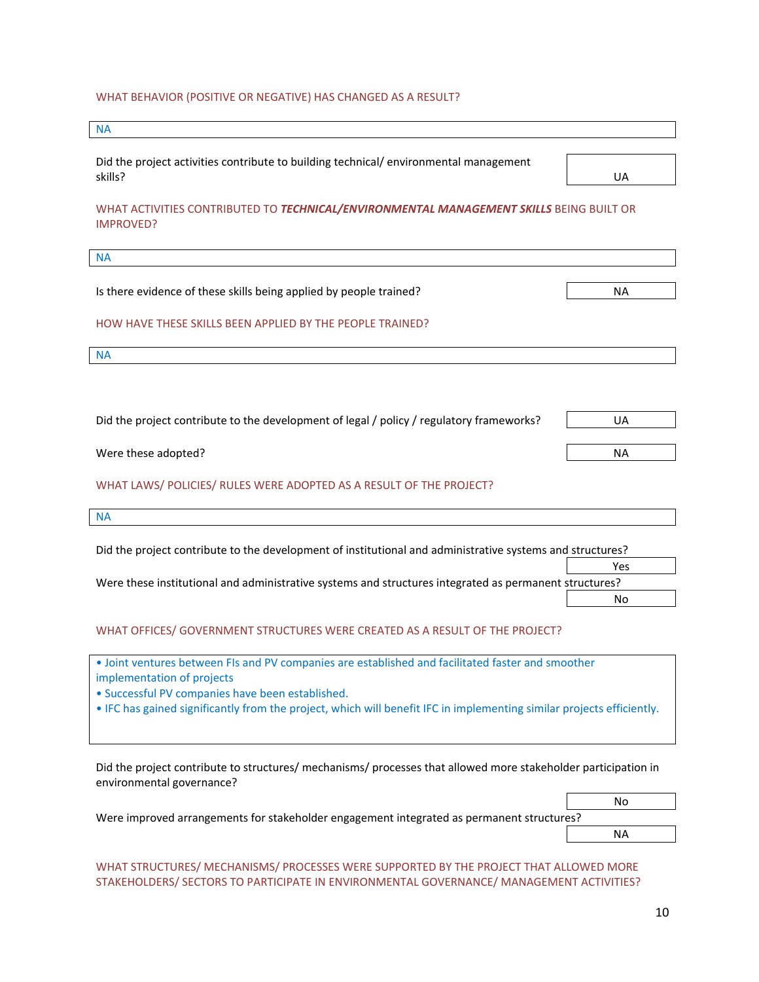## WHAT BEHAVIOR (POSITIVE OR NEGATIVE) HAS CHANGED AS A RESULT?

| <b>NA</b>                                                                                                                                                                                                                                                                                                    |           |
|--------------------------------------------------------------------------------------------------------------------------------------------------------------------------------------------------------------------------------------------------------------------------------------------------------------|-----------|
|                                                                                                                                                                                                                                                                                                              |           |
| Did the project activities contribute to building technical/environmental management<br>skills?                                                                                                                                                                                                              | UA        |
| WHAT ACTIVITIES CONTRIBUTED TO TECHNICAL/ENVIRONMENTAL MANAGEMENT SKILLS BEING BUILT OR<br><b>IMPROVED?</b>                                                                                                                                                                                                  |           |
| <b>NA</b>                                                                                                                                                                                                                                                                                                    |           |
| Is there evidence of these skills being applied by people trained?                                                                                                                                                                                                                                           | <b>NA</b> |
| HOW HAVE THESE SKILLS BEEN APPLIED BY THE PEOPLE TRAINED?                                                                                                                                                                                                                                                    |           |
| <b>NA</b>                                                                                                                                                                                                                                                                                                    |           |
|                                                                                                                                                                                                                                                                                                              |           |
| Did the project contribute to the development of legal / policy / regulatory frameworks?                                                                                                                                                                                                                     | UA        |
| Were these adopted?                                                                                                                                                                                                                                                                                          | <b>NA</b> |
| WHAT LAWS/ POLICIES/ RULES WERE ADOPTED AS A RESULT OF THE PROJECT?                                                                                                                                                                                                                                          |           |
| ΝA                                                                                                                                                                                                                                                                                                           |           |
| Did the project contribute to the development of institutional and administrative systems and structures?                                                                                                                                                                                                    |           |
|                                                                                                                                                                                                                                                                                                              | Yes       |
| Were these institutional and administrative systems and structures integrated as permanent structures?                                                                                                                                                                                                       |           |
|                                                                                                                                                                                                                                                                                                              | No        |
| WHAT OFFICES/ GOVERNMENT STRUCTURES WERE CREATED AS A RESULT OF THE PROJECT?                                                                                                                                                                                                                                 |           |
| • Joint ventures between FIs and PV companies are established and facilitated faster and smoother<br>implementation of projects<br>· Successful PV companies have been established.<br>. IFC has gained significantly from the project, which will benefit IFC in implementing similar projects efficiently. |           |
| Did the project contribute to structures/mechanisms/ processes that allowed more stakeholder participation in<br>environmental governance?                                                                                                                                                                   | No        |

WHAT STRUCTURES/ MECHANISMS/ PROCESSES WERE SUPPORTED BY THE PROJECT THAT ALLOWED MORE STAKEHOLDERS/ SECTORS TO PARTICIPATE IN ENVIRONMENTAL GOVERNANCE/ MANAGEMENT ACTIVITIES?

Were improved arrangements for stakeholder engagement integrated as permanent structures?

NA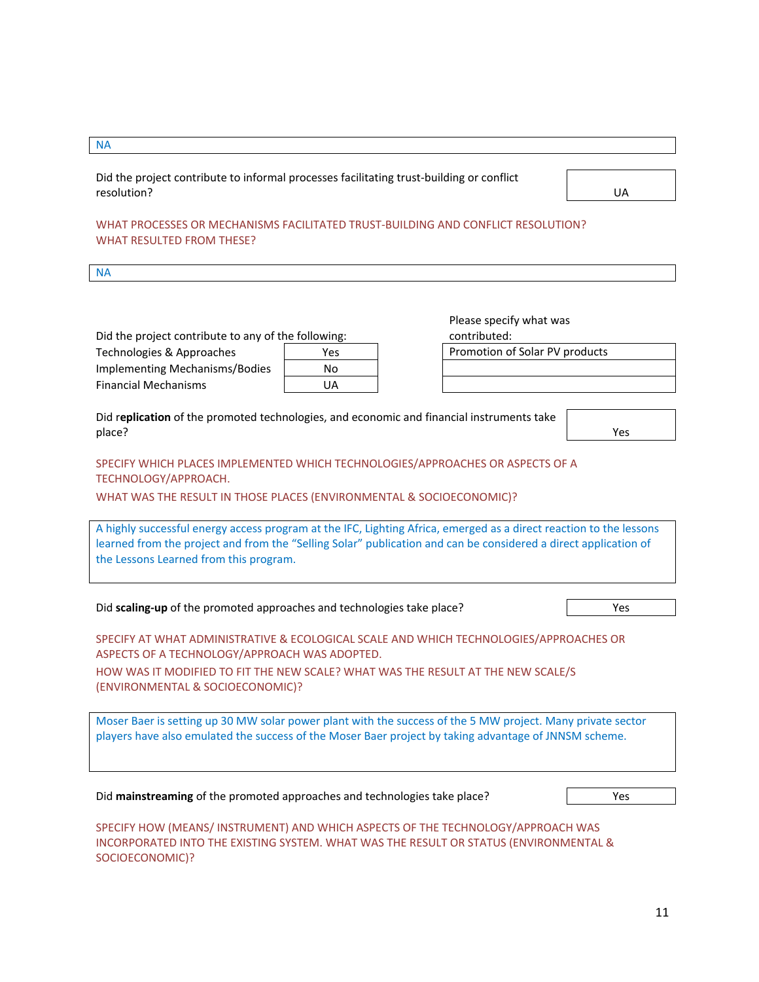| <b>NA</b>                                                                                                                                                                                                                                                                                                                                                                                                                                                         |                        |                                                                           |     |  |
|-------------------------------------------------------------------------------------------------------------------------------------------------------------------------------------------------------------------------------------------------------------------------------------------------------------------------------------------------------------------------------------------------------------------------------------------------------------------|------------------------|---------------------------------------------------------------------------|-----|--|
| Did the project contribute to informal processes facilitating trust-building or conflict<br>resolution?                                                                                                                                                                                                                                                                                                                                                           |                        |                                                                           | UA  |  |
| WHAT PROCESSES OR MECHANISMS FACILITATED TRUST-BUILDING AND CONFLICT RESOLUTION?<br><b>WHAT RESULTED FROM THESE?</b>                                                                                                                                                                                                                                                                                                                                              |                        |                                                                           |     |  |
| <b>NA</b>                                                                                                                                                                                                                                                                                                                                                                                                                                                         |                        |                                                                           |     |  |
| Did the project contribute to any of the following:<br>Technologies & Approaches<br>Implementing Mechanisms/Bodies<br><b>Financial Mechanisms</b>                                                                                                                                                                                                                                                                                                                 | Yes<br>No<br><b>UA</b> | Please specify what was<br>contributed:<br>Promotion of Solar PV products |     |  |
| Did replication of the promoted technologies, and economic and financial instruments take<br>place?                                                                                                                                                                                                                                                                                                                                                               |                        |                                                                           | Yes |  |
| SPECIFY WHICH PLACES IMPLEMENTED WHICH TECHNOLOGIES/APPROACHES OR ASPECTS OF A<br>TECHNOLOGY/APPROACH.<br>WHAT WAS THE RESULT IN THOSE PLACES (ENVIRONMENTAL & SOCIOECONOMIC)?<br>A highly successful energy access program at the IFC, Lighting Africa, emerged as a direct reaction to the lessons<br>learned from the project and from the "Selling Solar" publication and can be considered a direct application of<br>the Lessons Learned from this program. |                        |                                                                           |     |  |
|                                                                                                                                                                                                                                                                                                                                                                                                                                                                   |                        |                                                                           |     |  |
| Did scaling-up of the promoted approaches and technologies take place?                                                                                                                                                                                                                                                                                                                                                                                            |                        |                                                                           | Yes |  |
| SPECIFY AT WHAT ADMINISTRATIVE & ECOLOGICAL SCALE AND WHICH TECHNOLOGIES/APPROACHES OR<br>ASPECTS OF A TECHNOLOGY/APPROACH WAS ADOPTED.<br>HOW WAS IT MODIFIED TO FIT THE NEW SCALE? WHAT WAS THE RESULT AT THE NEW SCALE/S<br>(ENVIRONMENTAL & SOCIOECONOMIC)?                                                                                                                                                                                                   |                        |                                                                           |     |  |
| Moser Baer is setting up 30 MW solar power plant with the success of the 5 MW project. Many private sector<br>players have also emulated the success of the Moser Baer project by taking advantage of JNNSM scheme.                                                                                                                                                                                                                                               |                        |                                                                           |     |  |
| Did mainstreaming of the promoted approaches and technologies take place?                                                                                                                                                                                                                                                                                                                                                                                         |                        |                                                                           | Yes |  |
| SPECIFY HOW (MEANS/ INSTRUMENT) AND WHICH ASPECTS OF THE TECHNOLOGY/APPROACH WAS<br>INCORPORATED INTO THE EXISTING SYSTEM. WHAT WAS THE RESULT OR STATUS (ENVIRONMENTAL &<br>SOCIOECONOMIC)?                                                                                                                                                                                                                                                                      |                        |                                                                           |     |  |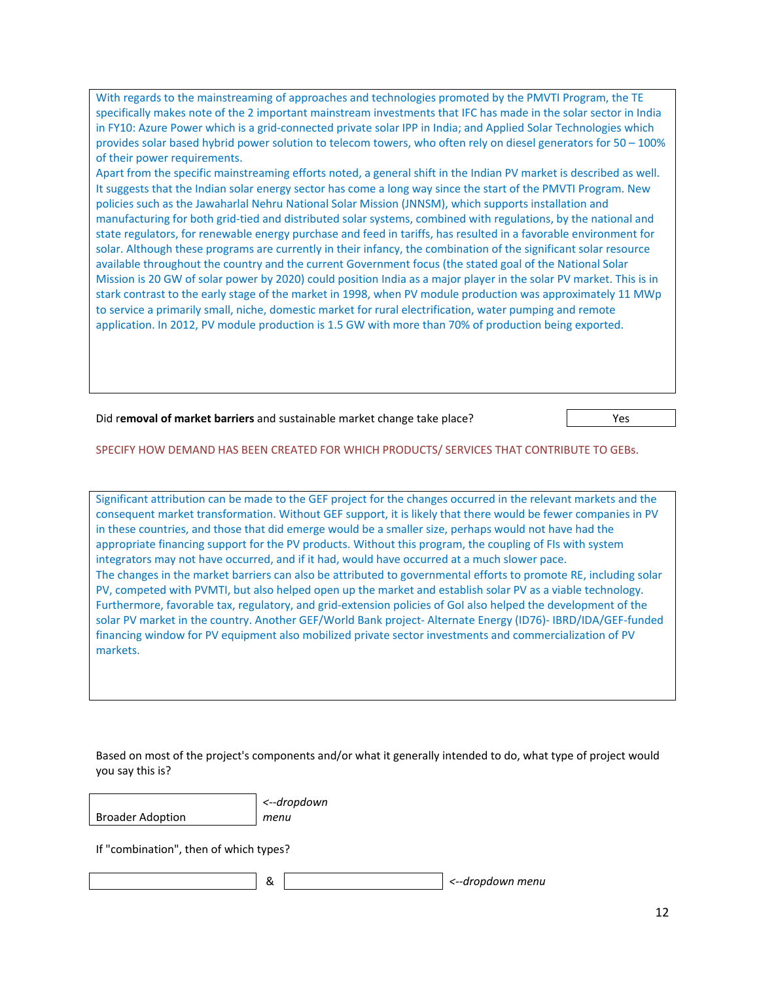With regards to the mainstreaming of approaches and technologies promoted by the PMVTI Program, the TE specifically makes note of the 2 important mainstream investments that IFC has made in the solar sector in India in FY10: Azure Power which is a grid-connected private solar IPP in India; and Applied Solar Technologies which provides solar based hybrid power solution to telecom towers, who often rely on diesel generators for 50 – 100% of their power requirements.

Apart from the specific mainstreaming efforts noted, a general shift in the Indian PV market is described as well. It suggests that the Indian solar energy sector has come a long way since the start of the PMVTI Program. New policies such as the Jawaharlal Nehru National Solar Mission (JNNSM), which supports installation and manufacturing for both grid-tied and distributed solar systems, combined with regulations, by the national and state regulators, for renewable energy purchase and feed in tariffs, has resulted in a favorable environment for solar. Although these programs are currently in their infancy, the combination of the significant solar resource available throughout the country and the current Government focus (the stated goal of the National Solar Mission is 20 GW of solar power by 2020) could position India as a major player in the solar PV market. This is in stark contrast to the early stage of the market in 1998, when PV module production was approximately 11 MWp to service a primarily small, niche, domestic market for rural electrification, water pumping and remote application. In 2012, PV module production is 1.5 GW with more than 70% of production being exported.

Did removal of market barriers and sustainable market change take place? The summarked that the vest

#### SPECIFY HOW DEMAND HAS BEEN CREATED FOR WHICH PRODUCTS/ SERVICES THAT CONTRIBUTE TO GEBs.

Significant attribution can be made to the GEF project for the changes occurred in the relevant markets and the consequent market transformation. Without GEF support, it is likely that there would be fewer companies in PV in these countries, and those that did emerge would be a smaller size, perhaps would not have had the appropriate financing support for the PV products. Without this program, the coupling of FIs with system integrators may not have occurred, and if it had, would have occurred at a much slower pace. The changes in the market barriers can also be attributed to governmental efforts to promote RE, including solar PV, competed with PVMTI, but also helped open up the market and establish solar PV as a viable technology. Furthermore, favorable tax, regulatory, and grid-extension policies of GoI also helped the development of the solar PV market in the country. Another GEF/World Bank project- Alternate Energy (ID76)- IBRD/IDA/GEF-funded financing window for PV equipment also mobilized private sector investments and commercialization of PV markets.

Based on most of the project's components and/or what it generally intended to do, what type of project would you say this is?

Broader Adoption

*<--dropdown menu*

If "combination", then of which types?

& *<--dropdown menu*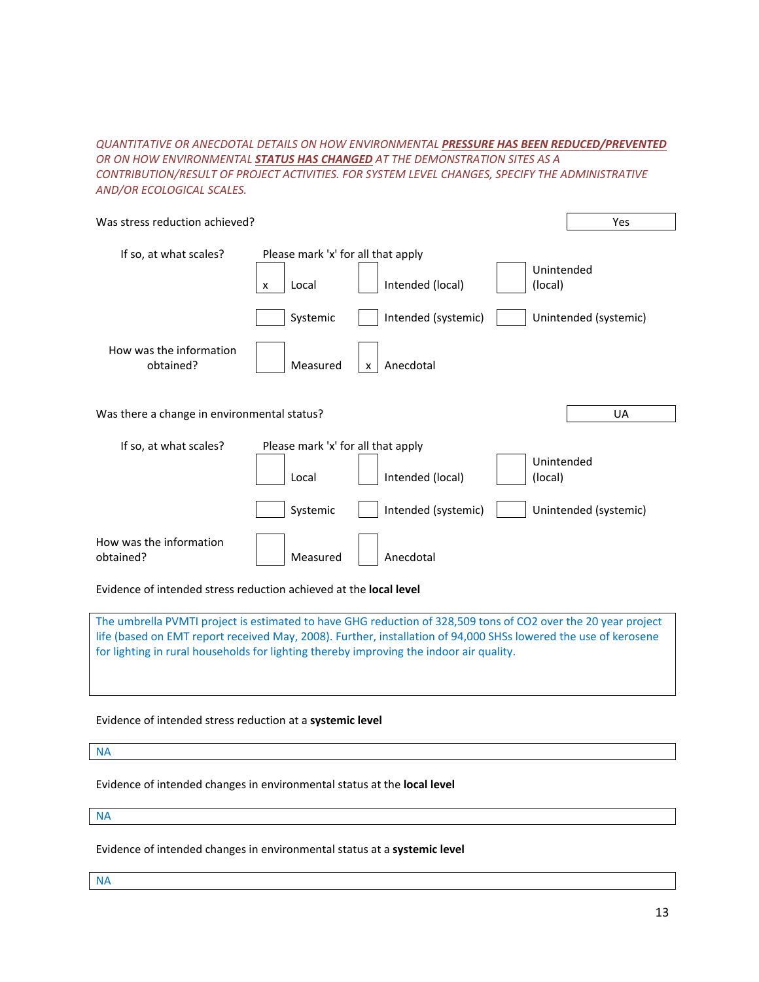*QUANTITATIVE OR ANECDOTAL DETAILS ON HOW ENVIRONMENTAL PRESSURE HAS BEEN REDUCED/PREVENTED OR ON HOW ENVIRONMENTAL STATUS HAS CHANGED AT THE DEMONSTRATION SITES AS A CONTRIBUTION/RESULT OF PROJECT ACTIVITIES. FOR SYSTEM LEVEL CHANGES, SPECIFY THE ADMINISTRATIVE AND/OR ECOLOGICAL SCALES.*

| Was stress reduction achieved?              |                                                                      | Yes                   |
|---------------------------------------------|----------------------------------------------------------------------|-----------------------|
| If so, at what scales?                      | Please mark 'x' for all that apply<br>Intended (local)<br>Local<br>x | Unintended<br>(local) |
|                                             | Intended (systemic)<br>Systemic                                      | Unintended (systemic) |
| How was the information<br>obtained?        | Measured<br>Anecdotal<br>X                                           |                       |
| Was there a change in environmental status? |                                                                      | <b>UA</b>             |
| If so, at what scales?                      | Please mark 'x' for all that apply<br>Intended (local)<br>Local      | Unintended<br>(local) |
|                                             | Intended (systemic)<br>Systemic                                      | Unintended (systemic) |
|                                             |                                                                      |                       |

Evidence of intended stress reduction achieved at the **local level**

The umbrella PVMTI project is estimated to have GHG reduction of 328,509 tons of CO2 over the 20 year project life (based on EMT report received May, 2008). Further, installation of 94,000 SHSs lowered the use of kerosene for lighting in rural households for lighting thereby improving the indoor air quality.

Evidence of intended stress reduction at a **systemic level**

NA

Evidence of intended changes in environmental status at the **local level**

NA

Evidence of intended changes in environmental status at a **systemic level**

NA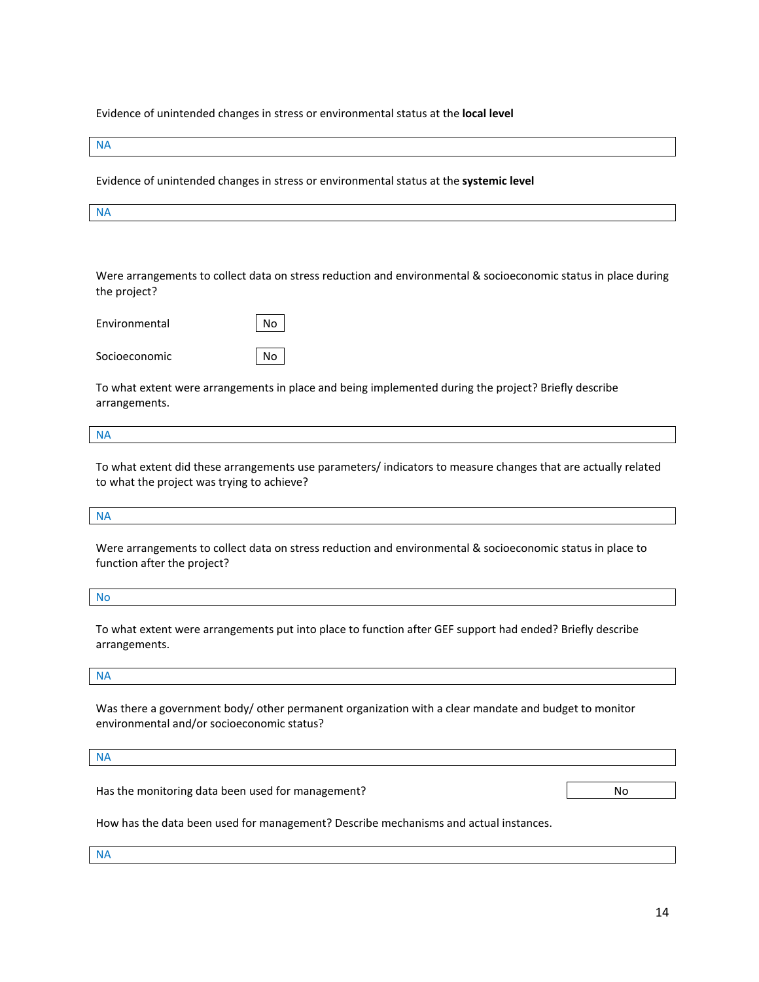Evidence of unintended changes in stress or environmental status at the **local level**

NA

Evidence of unintended changes in stress or environmental status at the **systemic level**

NA

Were arrangements to collect data on stress reduction and environmental & socioeconomic status in place during the project?

| Environmental | No l |
|---------------|------|
|               |      |

Socioeconomic No

To what extent were arrangements in place and being implemented during the project? Briefly describe arrangements.

NA

To what extent did these arrangements use parameters/ indicators to measure changes that are actually related to what the project was trying to achieve?

NA

Were arrangements to collect data on stress reduction and environmental & socioeconomic status in place to function after the project?

No

To what extent were arrangements put into place to function after GEF support had ended? Briefly describe arrangements.

NA

Was there a government body/ other permanent organization with a clear mandate and budget to monitor environmental and/or socioeconomic status?

NA

Has the monitoring data been used for management? No was also have not contained a set of the No

How has the data been used for management? Describe mechanisms and actual instances.

NA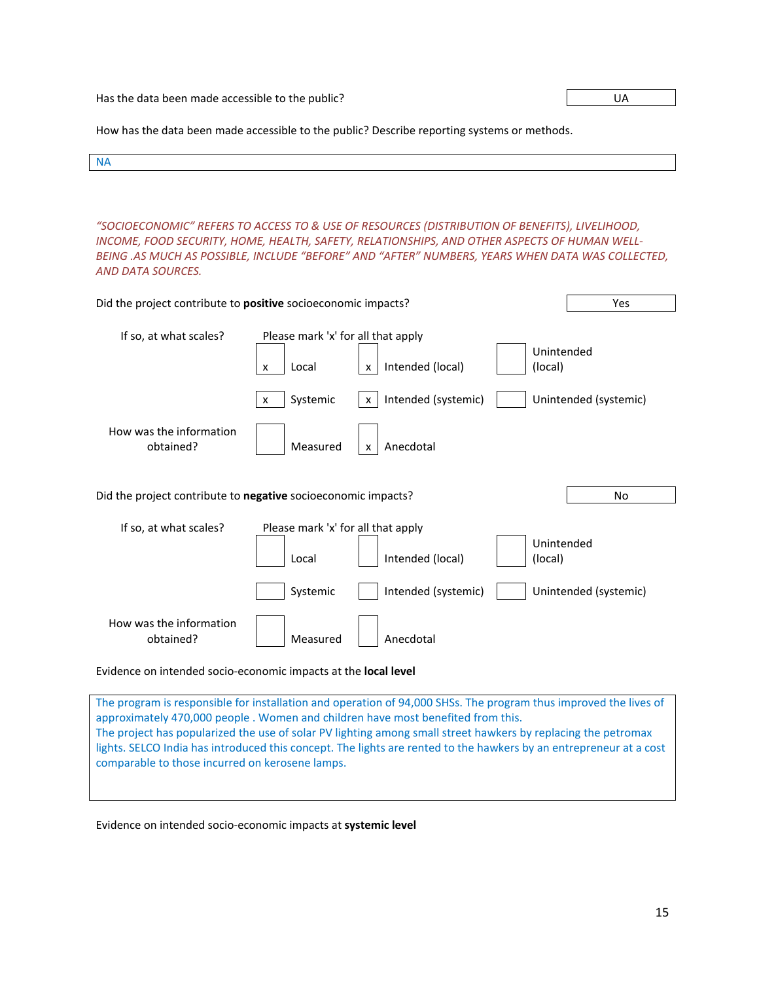Has the data been made accessible to the public? UA DOM: The state of the public of the public of the public of the public of the public of the public of the public of the public of the public of the public of the public o

How has the data been made accessible to the public? Describe reporting systems or methods.

NA

*"SOCIOECONOMIC" REFERS TO ACCESS TO & USE OF RESOURCES (DISTRIBUTION OF BENEFITS), LIVELIHOOD, INCOME, FOOD SECURITY, HOME, HEALTH, SAFETY, RELATIONSHIPS, AND OTHER ASPECTS OF HUMAN WELL-BEING .AS MUCH AS POSSIBLE, INCLUDE "BEFORE" AND "AFTER" NUMBERS, YEARS WHEN DATA WAS COLLECTED, AND DATA SOURCES.*

| Did the project contribute to <b>positive</b> socioeconomic impacts?                                             | Yes                                              |                          |                       |                       |
|------------------------------------------------------------------------------------------------------------------|--------------------------------------------------|--------------------------|-----------------------|-----------------------|
| If so, at what scales?                                                                                           | Please mark 'x' for all that apply<br>Local<br>x | Intended (local)<br>X    | Unintended<br>(local) |                       |
|                                                                                                                  | Systemic<br>x                                    | Intended (systemic)<br>x |                       | Unintended (systemic) |
| How was the information<br>obtained?                                                                             | Measured                                         | Anecdotal<br>X           |                       |                       |
| Did the project contribute to negative socioeconomic impacts?                                                    |                                                  |                          |                       | No                    |
| If so, at what scales?                                                                                           | Please mark 'x' for all that apply<br>Local      | Intended (local)         | Unintended<br>(local) |                       |
|                                                                                                                  | Systemic                                         | Intended (systemic)      |                       | Unintended (systemic) |
| How was the information<br>obtained?                                                                             | Measured                                         | Anecdotal                |                       |                       |
| Evidence on intended socio-economic impacts at the local level                                                   |                                                  |                          |                       |                       |
| The program is responsible for installation and operation of 94,000 SHSs. The program thus improved the lives of |                                                  |                          |                       |                       |

approximately 470,000 people . Women and children have most benefited from this. The project has popularized the use of solar PV lighting among small street hawkers by replacing the petromax lights. SELCO India has introduced this concept. The lights are rented to the hawkers by an entrepreneur at a cost comparable to those incurred on kerosene lamps.

Evidence on intended socio-economic impacts at **systemic level**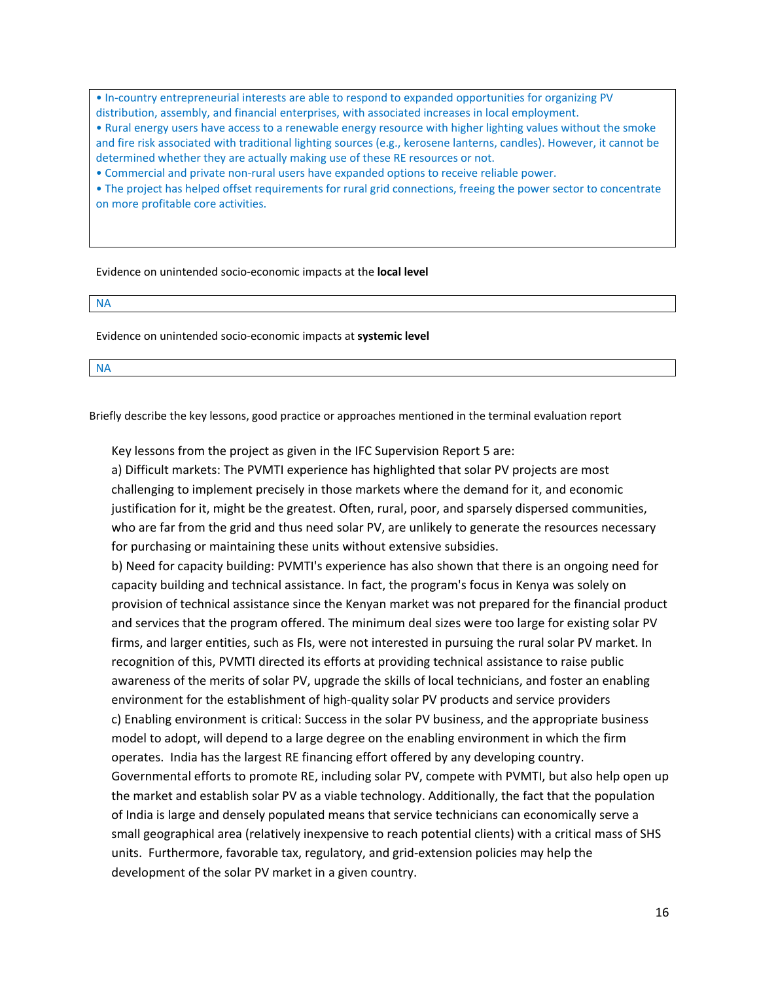• In-country entrepreneurial interests are able to respond to expanded opportunities for organizing PV distribution, assembly, and financial enterprises, with associated increases in local employment.

• Rural energy users have access to a renewable energy resource with higher lighting values without the smoke and fire risk associated with traditional lighting sources (e.g., kerosene lanterns, candles). However, it cannot be determined whether they are actually making use of these RE resources or not.

• Commercial and private non-rural users have expanded options to receive reliable power.

• The project has helped offset requirements for rural grid connections, freeing the power sector to concentrate on more profitable core activities.

#### Evidence on unintended socio-economic impacts at the **local level**

NA

Evidence on unintended socio-economic impacts at **systemic level**

NA

Briefly describe the key lessons, good practice or approaches mentioned in the terminal evaluation report

Key lessons from the project as given in the IFC Supervision Report 5 are:

a) Difficult markets: The PVMTI experience has highlighted that solar PV projects are most challenging to implement precisely in those markets where the demand for it, and economic justification for it, might be the greatest. Often, rural, poor, and sparsely dispersed communities, who are far from the grid and thus need solar PV, are unlikely to generate the resources necessary for purchasing or maintaining these units without extensive subsidies.

b) Need for capacity building: PVMTI's experience has also shown that there is an ongoing need for capacity building and technical assistance. In fact, the program's focus in Kenya was solely on provision of technical assistance since the Kenyan market was not prepared for the financial product and services that the program offered. The minimum deal sizes were too large for existing solar PV firms, and larger entities, such as FIs, were not interested in pursuing the rural solar PV market. In recognition of this, PVMTI directed its efforts at providing technical assistance to raise public awareness of the merits of solar PV, upgrade the skills of local technicians, and foster an enabling environment for the establishment of high-quality solar PV products and service providers c) Enabling environment is critical: Success in the solar PV business, and the appropriate business model to adopt, will depend to a large degree on the enabling environment in which the firm operates. India has the largest RE financing effort offered by any developing country. Governmental efforts to promote RE, including solar PV, compete with PVMTI, but also help open up the market and establish solar PV as a viable technology. Additionally, the fact that the population of India is large and densely populated means that service technicians can economically serve a small geographical area (relatively inexpensive to reach potential clients) with a critical mass of SHS units. Furthermore, favorable tax, regulatory, and grid-extension policies may help the development of the solar PV market in a given country.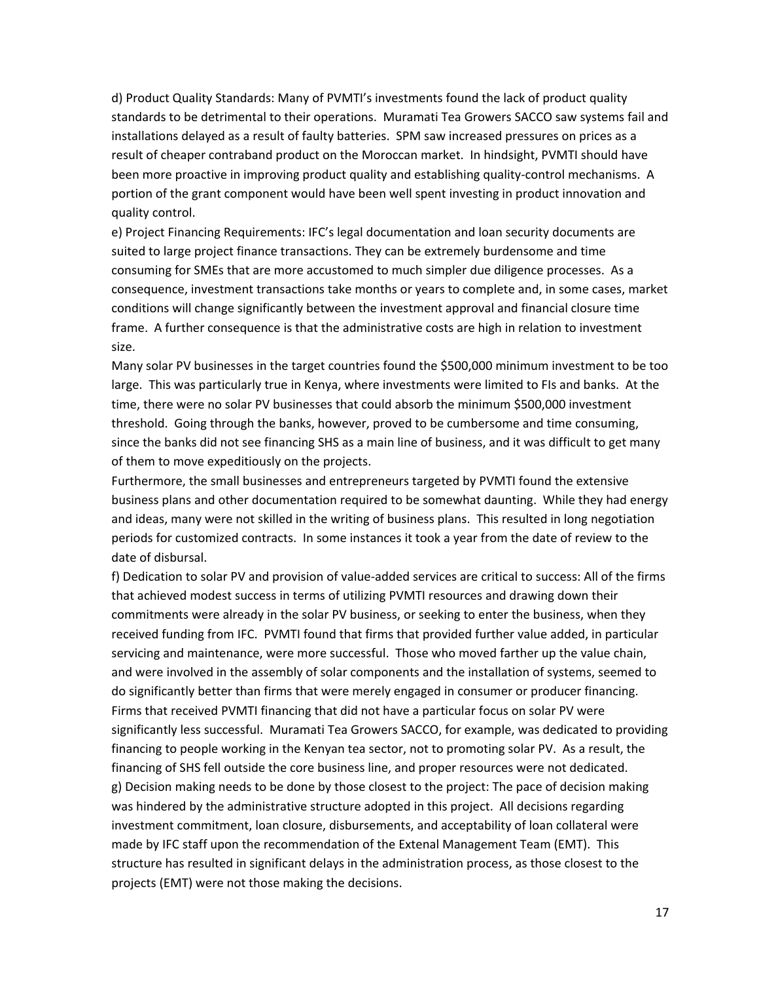d) Product Quality Standards: Many of PVMTI's investments found the lack of product quality standards to be detrimental to their operations. Muramati Tea Growers SACCO saw systems fail and installations delayed as a result of faulty batteries. SPM saw increased pressures on prices as a result of cheaper contraband product on the Moroccan market. In hindsight, PVMTI should have been more proactive in improving product quality and establishing quality-control mechanisms. A portion of the grant component would have been well spent investing in product innovation and quality control.

e) Project Financing Requirements: IFC's legal documentation and loan security documents are suited to large project finance transactions. They can be extremely burdensome and time consuming for SMEs that are more accustomed to much simpler due diligence processes. As a consequence, investment transactions take months or years to complete and, in some cases, market conditions will change significantly between the investment approval and financial closure time frame. A further consequence is that the administrative costs are high in relation to investment size.

Many solar PV businesses in the target countries found the \$500,000 minimum investment to be too large. This was particularly true in Kenya, where investments were limited to FIs and banks. At the time, there were no solar PV businesses that could absorb the minimum \$500,000 investment threshold. Going through the banks, however, proved to be cumbersome and time consuming, since the banks did not see financing SHS as a main line of business, and it was difficult to get many of them to move expeditiously on the projects.

Furthermore, the small businesses and entrepreneurs targeted by PVMTI found the extensive business plans and other documentation required to be somewhat daunting. While they had energy and ideas, many were not skilled in the writing of business plans. This resulted in long negotiation periods for customized contracts. In some instances it took a year from the date of review to the date of disbursal.

f) Dedication to solar PV and provision of value-added services are critical to success: All of the firms that achieved modest success in terms of utilizing PVMTI resources and drawing down their commitments were already in the solar PV business, or seeking to enter the business, when they received funding from IFC. PVMTI found that firms that provided further value added, in particular servicing and maintenance, were more successful. Those who moved farther up the value chain, and were involved in the assembly of solar components and the installation of systems, seemed to do significantly better than firms that were merely engaged in consumer or producer financing. Firms that received PVMTI financing that did not have a particular focus on solar PV were significantly less successful. Muramati Tea Growers SACCO, for example, was dedicated to providing financing to people working in the Kenyan tea sector, not to promoting solar PV. As a result, the financing of SHS fell outside the core business line, and proper resources were not dedicated. g) Decision making needs to be done by those closest to the project: The pace of decision making was hindered by the administrative structure adopted in this project. All decisions regarding investment commitment, loan closure, disbursements, and acceptability of loan collateral were made by IFC staff upon the recommendation of the Extenal Management Team (EMT). This structure has resulted in significant delays in the administration process, as those closest to the projects (EMT) were not those making the decisions.